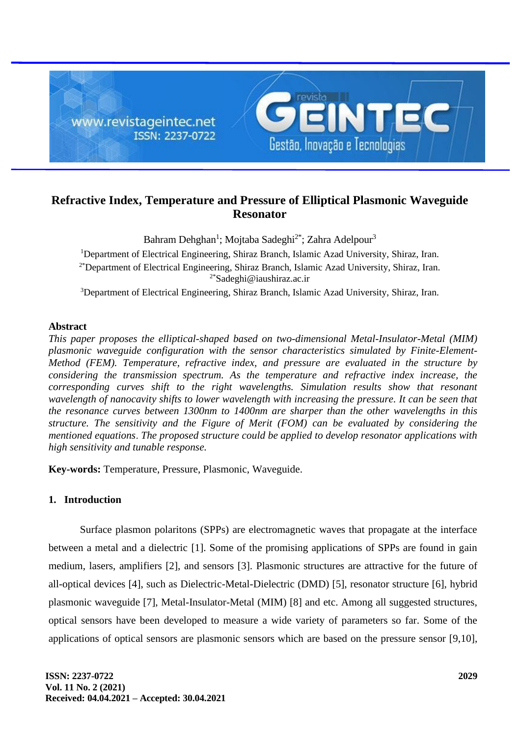

# **Refractive Index, Temperature and Pressure of Elliptical Plasmonic Waveguide Resonator**

Bahram Dehghan<sup>1</sup>; Mojtaba Sadeghi<sup>2\*</sup>; Zahra Adelpour<sup>3</sup> <sup>1</sup>Department of Electrical Engineering, Shiraz Branch, Islamic Azad University, Shiraz, Iran. 2\*Department of Electrical Engineering, Shiraz Branch, Islamic Azad University, Shiraz, Iran. 2\*[Sadeghi@i](mailto:Sadeghi@)aushiraz.ac.ir <sup>3</sup>Department of Electrical Engineering, Shiraz Branch, Islamic Azad University, Shiraz, Iran.

## **Abstract**

*This paper proposes the elliptical-shaped based on two-dimensional Metal-Insulator-Metal (MIM) plasmonic waveguide configuration with the sensor characteristics simulated by Finite-Element-Method (FEM). Temperature, refractive index, and pressure are evaluated in the structure by considering the transmission spectrum. As the temperature and refractive index increase, the corresponding curves shift to the right wavelengths. Simulation results show that resonant wavelength of nanocavity shifts to lower wavelength with increasing the pressure. It can be seen that the resonance curves between 1300nm to 1400nm are sharper than the other wavelengths in this structure. The sensitivity and the Figure of Merit (FOM) can be evaluated by considering the mentioned equations*. *The proposed structure could be applied to develop resonator applications with high sensitivity and tunable response.*

**Key-words:** Temperature, Pressure, Plasmonic, Waveguide.

# **1. Introduction**

Surface plasmon polaritons (SPPs) are electromagnetic waves that propagate at the interface between a metal and a dielectric [1]. Some of the promising applications of SPPs are found in gain medium, lasers, amplifiers [2], and sensors [3]. Plasmonic structures are attractive for the future of all-optical devices [4], such as Dielectric-Metal-Dielectric (DMD) [5], resonator structure [6], hybrid plasmonic waveguide [7], Metal-Insulator-Metal (MIM) [8] and etc. Among all suggested structures, optical sensors have been developed to measure a wide variety of parameters so far. Some of the applications of optical sensors are plasmonic sensors which are based on the pressure sensor [9,10],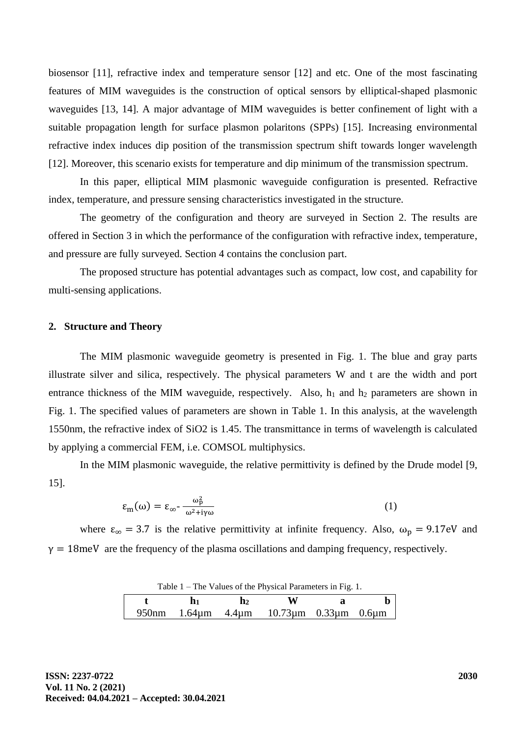biosensor [11], refractive index and temperature sensor [12] and etc. One of the most fascinating features of MIM waveguides is the construction of optical sensors by elliptical-shaped plasmonic waveguides [13, 14]. A major advantage of MIM waveguides is better confinement of light with a suitable propagation length for surface plasmon polaritons (SPPs) [15]. Increasing environmental refractive index induces dip position of the transmission spectrum shift towards longer wavelength [12]. Moreover, this scenario exists for temperature and dip minimum of the transmission spectrum.

In this paper, elliptical MIM plasmonic waveguide configuration is presented. Refractive index, temperature, and pressure sensing characteristics investigated in the structure.

The geometry of the configuration and theory are surveyed in Section 2. The results are offered in Section 3 in which the performance of the configuration with refractive index, temperature, and pressure are fully surveyed. Section 4 contains the conclusion part.

The proposed structure has potential advantages such as compact, low cost, and capability for multi-sensing applications.

#### **2. Structure and Theory**

The MIM plasmonic waveguide geometry is presented in Fig. 1. The blue and gray parts illustrate silver and silica, respectively. The physical parameters W and t are the width and port entrance thickness of the MIM waveguide, respectively. Also,  $h_1$  and  $h_2$  parameters are shown in Fig. 1. The specified values of parameters are shown in Table 1. In this analysis, at the wavelength 1550nm, the refractive index of SiO2 is 1.45. The transmittance in terms of wavelength is calculated by applying a commercial FEM, i.e. COMSOL multiphysics.

In the MIM plasmonic waveguide, the relative permittivity is defined by the Drude model [9, 15].

$$
\varepsilon_{\rm m}(\omega) = \varepsilon_{\infty} - \frac{\omega_{\rm p}^2}{\omega^2 + i\gamma\omega} \tag{1}
$$

where  $\epsilon_{\infty} = 3.7$  is the relative permittivity at infinite frequency. Also,  $\omega_{\rm p} = 9.17$ eV and  $y = 18$ meV are the frequency of the plasma oscillations and damping frequency, respectively.

|  | Table 1 – The Values of the Physical Parameters in Fig. 1. |
|--|------------------------------------------------------------|
|--|------------------------------------------------------------|

|  | W                                       |  |
|--|-----------------------------------------|--|
|  | 950nm 1.64μm 4.4μm 10.73μm 0.33μm 0.6μm |  |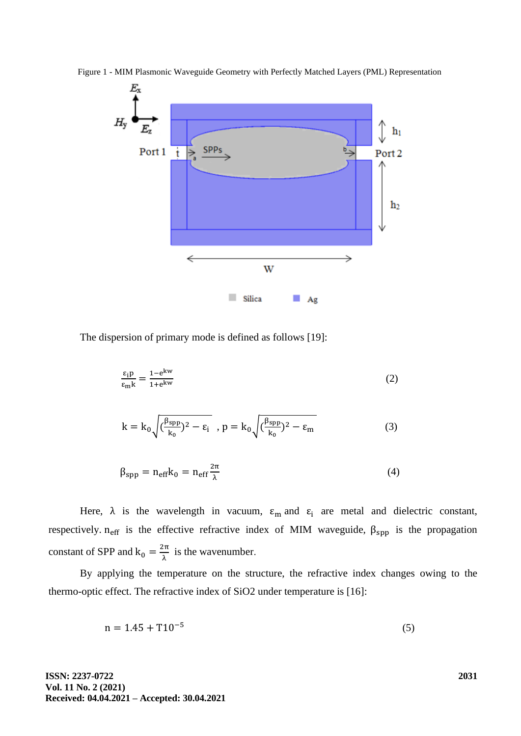

Figure 1 - MIM Plasmonic Waveguide Geometry with Perfectly Matched Layers (PML) Representation

The dispersion of primary mode is defined as follows [19]:

$$
\frac{\varepsilon_{\rm i} \mathbf{p}}{\varepsilon_{\rm m} \mathbf{k}} = \frac{1 - e^{\mathbf{k} \mathbf{w}}}{1 + e^{\mathbf{k} \mathbf{w}}} \tag{2}
$$

$$
k = k_0 \sqrt{\left(\frac{\beta_{\rm spp}}{k_0}\right)^2 - \varepsilon_i} \quad , \, p = k_0 \sqrt{\left(\frac{\beta_{\rm spp}}{k_0}\right)^2 - \varepsilon_m} \tag{3}
$$

$$
\beta_{\rm spp} = n_{\rm eff} k_0 = n_{\rm eff} \frac{2\pi}{\lambda} \tag{4}
$$

Here,  $\lambda$  is the wavelength in vacuum,  $\varepsilon_m$  and  $\varepsilon_i$  are metal and dielectric constant, respectively.  $n_{\text{eff}}$  is the effective refractive index of MIM waveguide,  $\beta_{\text{spp}}$  is the propagation constant of SPP and  $k_0 = \frac{2\pi}{\lambda}$  $\frac{\partial}{\partial \lambda}$  is the wavenumber.

By applying the temperature on the structure, the refractive index changes owing to the thermo-optic effect. The refractive index of SiO2 under temperature is [16]:

$$
n = 1.45 + T10^{-5} \tag{5}
$$

**ISSN: 2237-0722 Vol. 11 No. 2 (2021) Received: 04.04.2021 – Accepted: 30.04.2021**  **2031**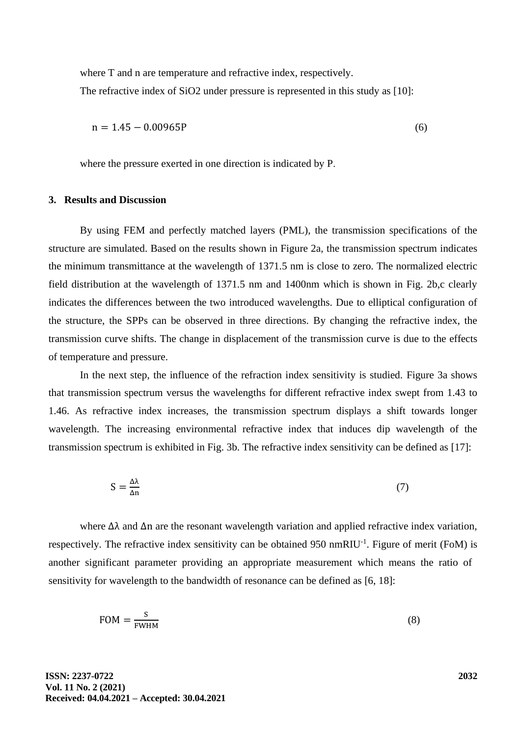where T and n are temperature and refractive index, respectively. The refractive index of SiO2 under pressure is represented in this study as [10]:

$$
n = 1.45 - 0.00965P \tag{6}
$$

where the pressure exerted in one direction is indicated by P.

### **3. Results and Discussion**

By using FEM and perfectly matched layers (PML), the transmission specifications of the structure are simulated. Based on the results shown in Figure 2a, the transmission spectrum indicates the minimum transmittance at the wavelength of 1371.5 nm is close to zero. The normalized electric field distribution at the wavelength of 1371.5 nm and 1400nm which is shown in Fig. 2b,c clearly indicates the differences between the two introduced wavelengths. Due to elliptical configuration of the structure, the SPPs can be observed in three directions. By changing the refractive index, the transmission curve shifts. The change in displacement of the transmission curve is due to the effects of temperature and pressure.

In the next step, the influence of the refraction index sensitivity is studied. Figure 3a shows that transmission spectrum versus the wavelengths for different refractive index swept from 1.43 to 1.46. As refractive index increases, the transmission spectrum displays a shift towards longer wavelength. The increasing environmental refractive index that induces dip wavelength of the transmission spectrum is exhibited in Fig. 3b. The refractive index sensitivity can be defined as [17]:

$$
S = \frac{\Delta \lambda}{\Delta n} \tag{7}
$$

where  $\Delta\lambda$  and  $\Delta n$  are the resonant wavelength variation and applied refractive index variation, respectively. The refractive index sensitivity can be obtained 950 nmRIU<sup>-1</sup>. Figure of merit (FoM) is another significant parameter providing an appropriate measurement which means the ratio of sensitivity for wavelength to the bandwidth of resonance can be defined as [6, 18]:

$$
FOM = \frac{S}{FWHM}
$$
 (8)

**ISSN: 2237-0722 Vol. 11 No. 2 (2021) Received: 04.04.2021 – Accepted: 30.04.2021**  **2032**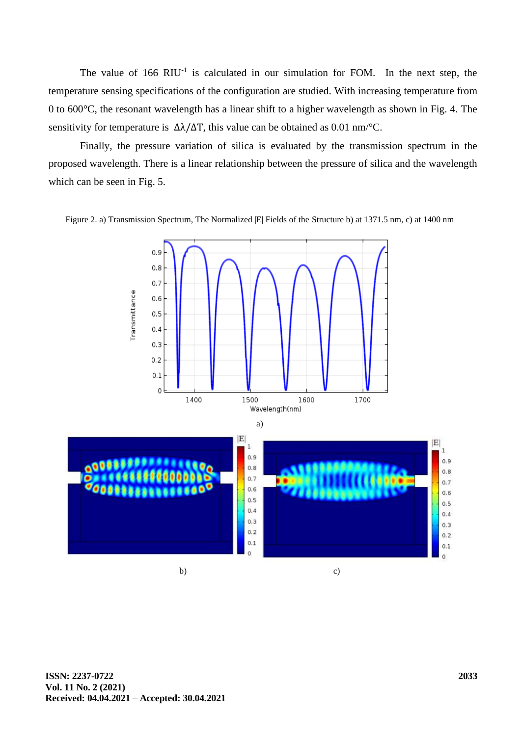The value of  $166$  RIU<sup>-1</sup> is calculated in our simulation for FOM. In the next step, the temperature sensing specifications of the configuration are studied. With increasing temperature from 0 to 600°C, the resonant wavelength has a linear shift to a higher wavelength as shown in Fig. 4. The sensitivity for temperature is  $\Delta\lambda/\Delta T$ , this value can be obtained as 0.01 nm/°C.

Finally, the pressure variation of silica is evaluated by the transmission spectrum in the proposed wavelength. There is a linear relationship between the pressure of silica and the wavelength which can be seen in Fig. 5.



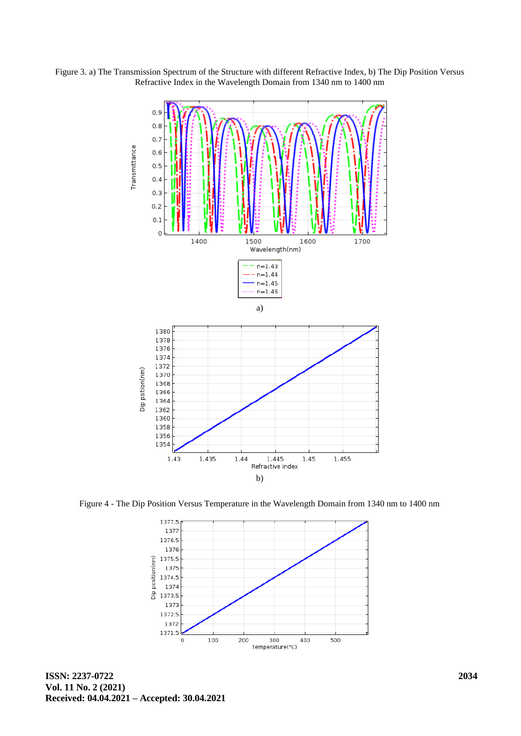Figure 3. a) The Transmission Spectrum of the Structure with different Refractive Index, b) The Dip Position Versus Refractive Index in the Wavelength Domain from 1340 nm to 1400 nm



Figure 4 - The Dip Position Versus Temperature in the Wavelength Domain from 1340 nm to 1400 nm

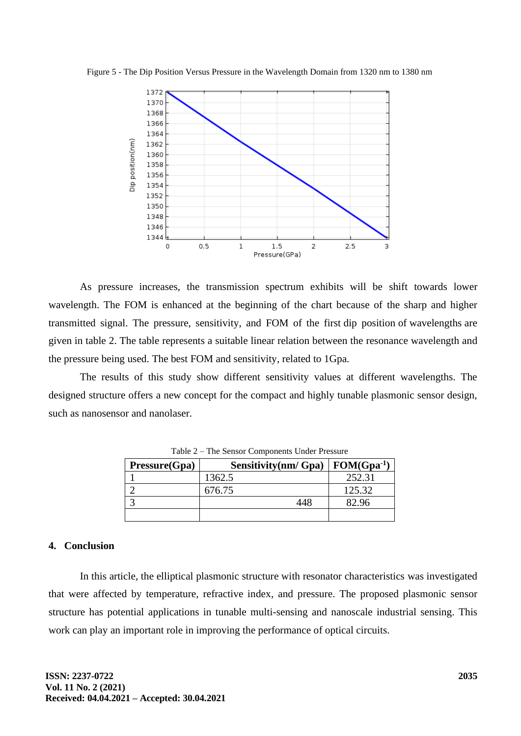Figure 5 - The Dip Position Versus Pressure in the Wavelength Domain from 1320 nm to 1380 nm



As pressure increases, the transmission spectrum exhibits will be shift towards lower wavelength. The FOM is enhanced at the beginning of the chart because of the sharp and higher transmitted signal. The pressure, sensitivity, and FOM of the first dip position of wavelengths are given in table 2. The table represents a suitable linear relation between the resonance wavelength and the pressure being used. The best FOM and sensitivity, related to 1Gpa.

The results of this study show different sensitivity values at different wavelengths. The designed structure offers a new concept for the compact and highly tunable plasmonic sensor design, such as nanosensor and nanolaser.

| Pressure(Gpa) | Sensitivity(nm/Gpa) | $FOM(Gpa^{-1})$ |
|---------------|---------------------|-----------------|
|               | 1362.5              | 252.31          |
|               | 676.75              | 125.32          |
|               | 448                 |                 |
|               |                     |                 |

Table 2 – The Sensor Components Under Pressure

## **4. Conclusion**

In this article, the elliptical plasmonic structure with resonator characteristics was investigated that were affected by temperature, refractive index, and pressure. The proposed plasmonic sensor structure has potential applications in tunable multi-sensing and nanoscale industrial sensing. This work can play an important role in improving the performance of optical circuits.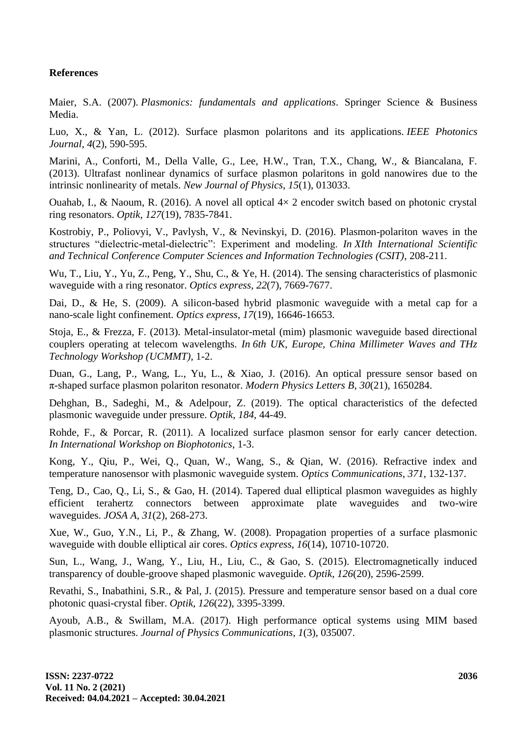## **References**

Maier, S.A. (2007). *Plasmonics: fundamentals and applications*. Springer Science & Business Media.

Luo, X., & Yan, L. (2012). Surface plasmon polaritons and its applications. *IEEE Photonics Journal*, *4*(2), 590-595.

Marini, A., Conforti, M., Della Valle, G., Lee, H.W., Tran, T.X., Chang, W., & Biancalana, F. (2013). Ultrafast nonlinear dynamics of surface plasmon polaritons in gold nanowires due to the intrinsic nonlinearity of metals. *New Journal of Physics*, *15*(1), 013033.

Ouahab, I., & Naoum, R. (2016). A novel all optical  $4 \times 2$  encoder switch based on photonic crystal ring resonators. *Optik*, *127*(19), 7835-7841.

Kostrobiy, P., Poliovyi, V., Pavlysh, V., & Nevinskyi, D. (2016). Plasmon-polariton waves in the structures "dielectric-metal-dielectric": Experiment and modeling. *In XIth International Scientific and Technical Conference Computer Sciences and Information Technologies (CSIT)*, 208-211.

Wu, T., Liu, Y., Yu, Z., Peng, Y., Shu, C., & Ye, H. (2014). The sensing characteristics of plasmonic waveguide with a ring resonator. *Optics express*, *22*(7), 7669-7677.

Dai, D., & He, S. (2009). A silicon-based hybrid plasmonic waveguide with a metal cap for a nano-scale light confinement. *Optics express*, *17*(19), 16646-16653.

Stoja, E., & Frezza, F. (2013). Metal-insulator-metal (mim) plasmonic waveguide based directional couplers operating at telecom wavelengths. *In 6th UK, Europe, China Millimeter Waves and THz Technology Workshop (UCMMT)*, 1-2.

Duan, G., Lang, P., Wang, L., Yu, L., & Xiao, J. (2016). An optical pressure sensor based on π-shaped surface plasmon polariton resonator. *Modern Physics Letters B*, *30*(21), 1650284.

Dehghan, B., Sadeghi, M., & Adelpour, Z. (2019). The optical characteristics of the defected plasmonic waveguide under pressure. *Optik*, *184*, 44-49.

Rohde, F., & Porcar, R. (2011). A localized surface plasmon sensor for early cancer detection. *In International Workshop on Biophotonics*, 1-3.

Kong, Y., Qiu, P., Wei, Q., Quan, W., Wang, S., & Qian, W. (2016). Refractive index and temperature nanosensor with plasmonic waveguide system. *Optics Communications*, *371*, 132-137.

Teng, D., Cao, Q., Li, S., & Gao, H. (2014). Tapered dual elliptical plasmon waveguides as highly efficient terahertz connectors between approximate plate waveguides and two-wire waveguides. *JOSA A*, *31*(2), 268-273.

Xue, W., Guo, Y.N., Li, P., & Zhang, W. (2008). Propagation properties of a surface plasmonic waveguide with double elliptical air cores. *Optics express*, *16*(14), 10710-10720.

Sun, L., Wang, J., Wang, Y., Liu, H., Liu, C., & Gao, S. (2015). Electromagnetically induced transparency of double-groove shaped plasmonic waveguide. *Optik*, *126*(20), 2596-2599.

Revathi, S., Inabathini, S.R., & Pal, J. (2015). Pressure and temperature sensor based on a dual core photonic quasi-crystal fiber. *Optik*, *126*(22), 3395-3399.

Ayoub, A.B., & Swillam, M.A. (2017). High performance optical systems using MIM based plasmonic structures. *Journal of Physics Communications*, *1*(3), 035007.